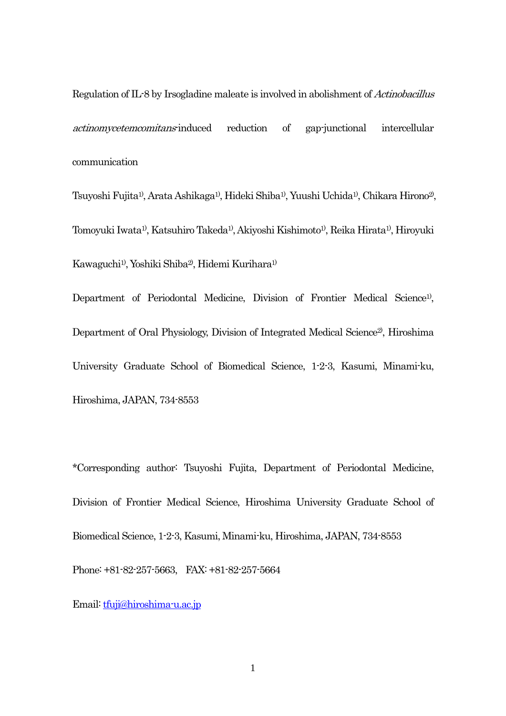Regulation of IL-8 by Irsogladine maleate is involved in abolishment of Actinobacillus actinomycetemcomitans-induced reduction of gap-junctional intercellular communication

Tsuyoshi Fujita1), Arata Ashikaga1), Hideki Shiba1), Yuushi Uchida1), Chikara Hirono2), Tomoyuki Iwata1), Katsuhiro Takeda1), Akiyoshi Kishimoto1), Reika Hirata1), Hiroyuki Kawaguchi1), Yoshiki Shiba2), Hidemi Kurihara1)

Department of Periodontal Medicine, Division of Frontier Medical Science<sup>1)</sup>, Department of Oral Physiology, Division of Integrated Medical Science<sup>2</sup>, Hiroshima University Graduate School of Biomedical Science, 1-2-3, Kasumi, Minami-ku, Hiroshima, JAPAN, 734-8553

\*Corresponding author: Tsuyoshi Fujita, Department of Periodontal Medicine, Division of Frontier Medical Science, Hiroshima University Graduate School of Biomedical Science, 1-2-3, Kasumi, Minami-ku, Hiroshima, JAPAN, 734-8553 Phone: +81-82-257-5663, FAX: +81-82-257-5664

Email: [tfuji@hiroshima-u.ac.jp](mailto:tfuji@hiroshima-u.ac.jp)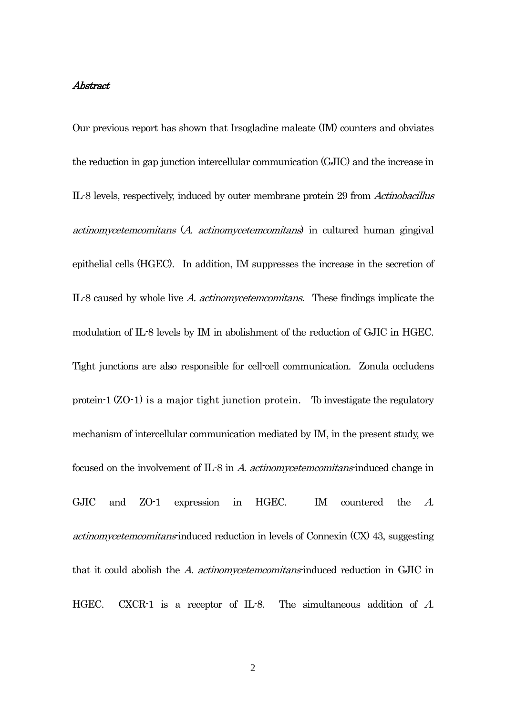### Abstract

Our previous report has shown that Irsogladine maleate (IM) counters and obviates the reduction in gap junction intercellular communication (GJIC) and the increase in IL-8 levels, respectively, induced by outer membrane protein 29 from Actinobacillus actinomycetemcomitans (A. actinomycetemcomitans) in cultured human gingival epithelial cells (HGEC). In addition, IM suppresses the increase in the secretion of IL-8 caused by whole live A. actinomycetemcomitans. These findings implicate the modulation of IL-8 levels by IM in abolishment of the reduction of GJIC in HGEC. Tight junctions are also responsible for cell-cell communication. Zonula occludens protein-1 (ZO-1) is a major tight junction protein. To investigate the regulatory mechanism of intercellular communication mediated by IM, in the present study, we focused on the involvement of  $IL-8$  in A. actinomycetemcomitans-induced change in GJIC and ZO-1 expression in HGEC. IM countered the A.  $action$  actinomy cetem comitans-induced reduction in levels of Connexin  $(CX)$  43, suggesting that it could abolish the A. *actinomycetemcomitans*-induced reduction in GJIC in HGEC. CXCR-1 is a receptor of IL-8. The simultaneous addition of A.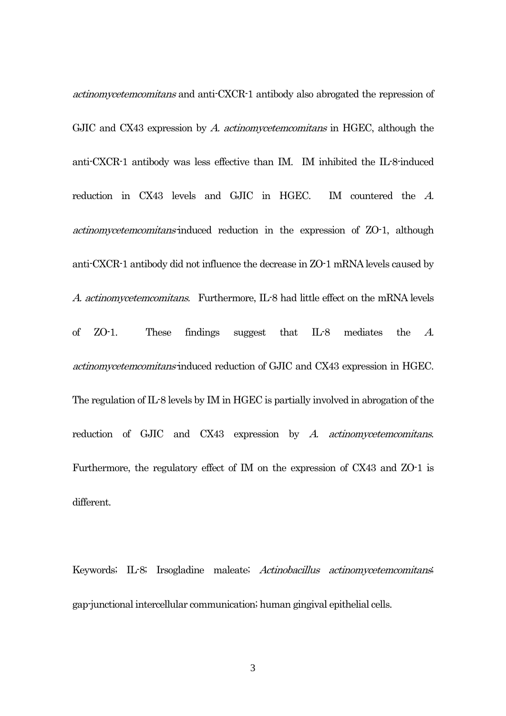actinomycetemcomitans and anti-CXCR-1 antibody also abrogated the repression of GJIC and CX43 expression by A. actinomycetemcomitans in HGEC, although the anti-CXCR-1 antibody was less effective than IM. IM inhibited the IL-8-induced reduction in CX43 levels and GJIC in HGEC. IM countered the A. actinomycetemcomitans-induced reduction in the expression of ZO-1, although anti-CXCR-1 antibody did not influence the decrease in ZO-1 mRNA levels caused by A. actinomycetemcomitans. Furthermore, IL-8 had little effect on the mRNA levels of ZO-1. These findings suggest that IL-8 mediates the A. actinomycetemcomitans-induced reduction of GJIC and CX43 expression in HGEC. The regulation of IL-8 levels by IM in HGEC is partially involved in abrogation of the reduction of GJIC and CX43 expression by A. actinomycetemcomitans. Furthermore, the regulatory effect of IM on the expression of CX43 and ZO-1 is different.

Keywords; IL-8; Irsogladine maleate; Actinobacillus actinomycetemcomitans; gap-junctional intercellular communication; human gingival epithelial cells.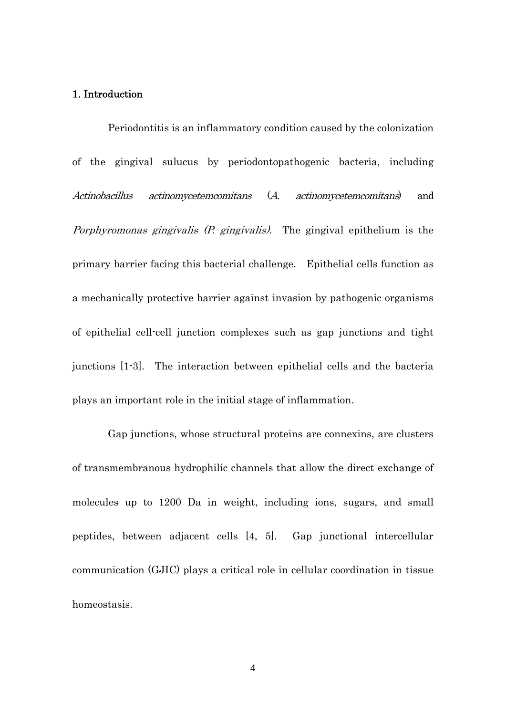### 1. Introduction

Periodontitis is an inflammatory condition caused by the colonization of the gingival sulucus by periodontopathogenic bacteria, including Actinobacillus actinomycetemcomitans (A. actinomycetemcomitans) and Porphyromonas gingivalis (P. gingivalis). The gingival epithelium is the primary barrier facing this bacterial challenge. Epithelial cells function as a mechanically protective barrier against invasion by pathogenic organisms of epithelial cell-cell junction complexes such as gap junctions and tight junctions [1-3]. The interaction between epithelial cells and the bacteria plays an important role in the initial stage of inflammation.

Gap junctions, whose structural proteins are connexins, are clusters of transmembranous hydrophilic channels that allow the direct exchange of molecules up to 1200 Da in weight, including ions, sugars, and small peptides, between adjacent cells [4, 5]. Gap junctional intercellular communication (GJIC) plays a critical role in cellular coordination in tissue homeostasis.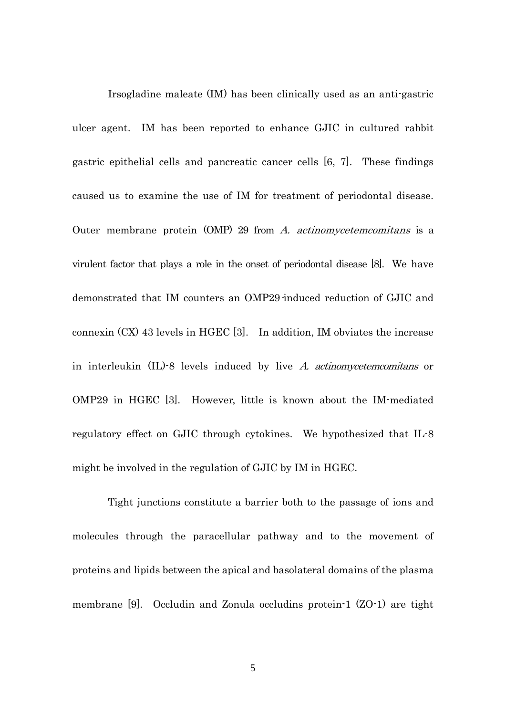Irsogladine maleate (IM) has been clinically used as an anti-gastric ulcer agent. IM has been reported to enhance GJIC in cultured rabbit gastric epithelial cells and pancreatic cancer cells [6, 7]. These findings caused us to examine the use of IM for treatment of periodontal disease. Outer membrane protein (OMP) 29 from A. actinomycetemcomitans is a virulent factor that plays a role in the onset of periodontal disease [8]. We have demonstrated that IM counters an OMP29-induced reduction of GJIC and connexin (CX) 43 levels in HGEC [3]. In addition, IM obviates the increase in interleukin (IL)-8 levels induced by live A. actinomycetemcomitans or OMP29 in HGEC [3]. However, little is known about the IM-mediated regulatory effect on GJIC through cytokines. We hypothesized that IL-8 might be involved in the regulation of GJIC by IM in HGEC.

Tight junctions constitute a barrier both to the passage of ions and molecules through the paracellular pathway and to the movement of proteins and lipids between the apical and basolateral domains of the plasma membrane [9]. Occludin and Zonula occludins protein-1 (ZO-1) are tight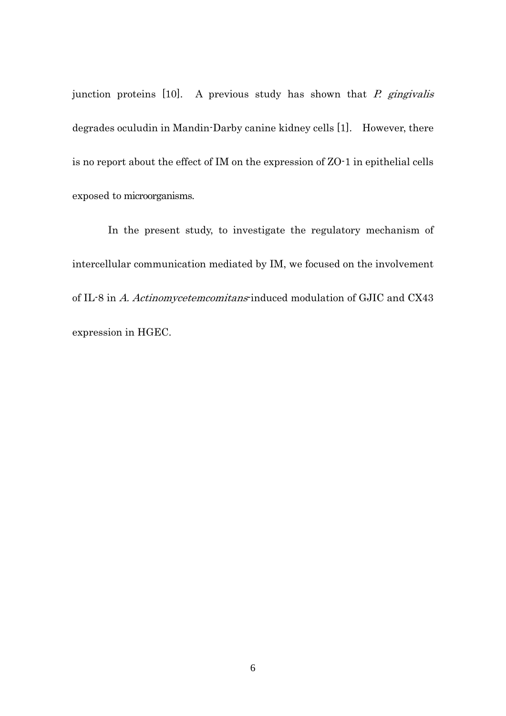junction proteins  $[10]$ . A previous study has shown that *P. gingivalis* degrades oculudin in Mandin-Darby canine kidney cells [1]. However, there is no report about the effect of IM on the expression of ZO-1 in epithelial cells exposed to microorganisms.

In the present study, to investigate the regulatory mechanism of intercellular communication mediated by IM, we focused on the involvement of IL-8 in A. Actinomycetemcomitans-induced modulation of GJIC and CX43 expression in HGEC.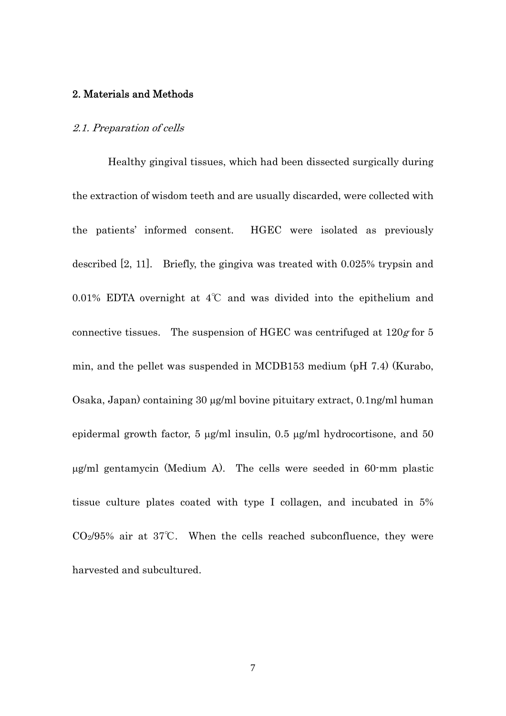### 2. Materials and Methods

### 2.1. Preparation of cells

Healthy gingival tissues, which had been dissected surgically during the extraction of wisdom teeth and are usually discarded, were collected with the patients' informed consent. HGEC were isolated as previously described [2, 11]. Briefly, the gingiva was treated with 0.025% trypsin and 0.01% EDTA overnight at 4℃ and was divided into the epithelium and connective tissues. The suspension of HGEC was centrifuged at  $120g$  for 5 min, and the pellet was suspended in MCDB153 medium (pH 7.4) (Kurabo, Osaka, Japan) containing 30 μg/ml bovine pituitary extract, 0.1ng/ml human epidermal growth factor, 5 μg/ml insulin, 0.5 μg/ml hydrocortisone, and 50 μg/ml gentamycin (Medium A). The cells were seeded in 60-mm plastic tissue culture plates coated with type I collagen, and incubated in 5%  $CO<sub>2</sub>/95%$  air at 37°C. When the cells reached subconfluence, they were harvested and subcultured.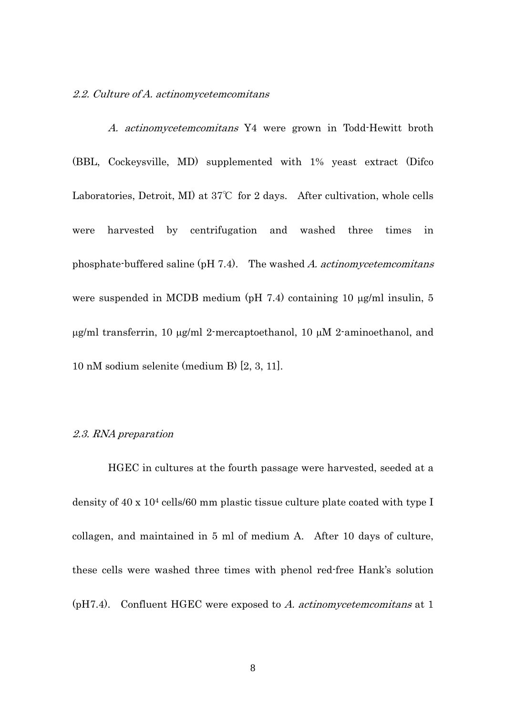2.2. Culture of A. actinomycetemcomitans

A. actinomycetemcomitans Y4 were grown in Todd-Hewitt broth (BBL, Cockeysville, MD) supplemented with 1% yeast extract (Difco Laboratories, Detroit, MI) at 37℃ for 2 days. After cultivation, whole cells were harvested by centrifugation and washed three times in phosphate-buffered saline (pH 7.4). The washed A. actinomy cetem comitans were suspended in MCDB medium (pH 7.4) containing 10 μg/ml insulin, 5 μg/ml transferrin, 10 μg/ml 2-mercaptoethanol, 10 μM 2-aminoethanol, and 10 nM sodium selenite (medium B) [2, 3, 11].

#### 2.3. RNA preparation

 HGEC in cultures at the fourth passage were harvested, seeded at a density of 40 x 104 cells/60 mm plastic tissue culture plate coated with type I collagen, and maintained in 5 ml of medium A. After 10 days of culture, these cells were washed three times with phenol red-free Hank's solution  $(pH7.4)$ . Confluent HGEC were exposed to A. actinomy ceters comitans at 1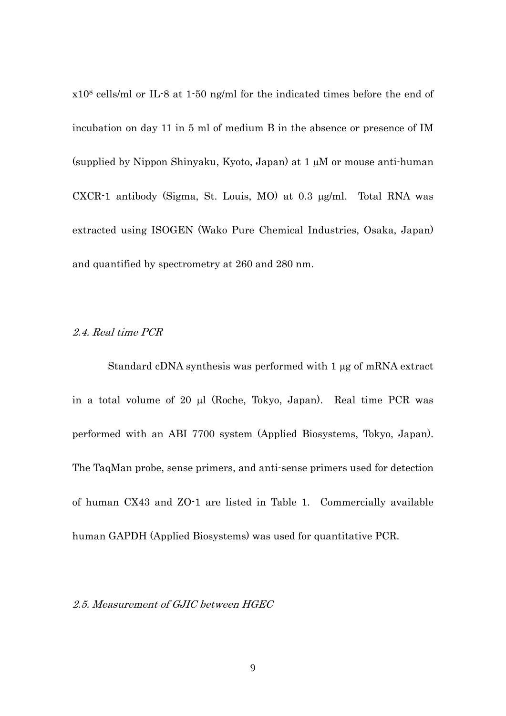x108 cells/ml or IL-8 at 1-50 ng/ml for the indicated times before the end of incubation on day 11 in 5 ml of medium B in the absence or presence of IM (supplied by Nippon Shinyaku, Kyoto, Japan) at 1 μM or mouse anti-human CXCR-1 antibody (Sigma, St. Louis, MO) at 0.3 μg/ml. Total RNA was extracted using ISOGEN (Wako Pure Chemical Industries, Osaka, Japan) and quantified by spectrometry at 260 and 280 nm.

## 2.4. Real time PCR

 Standard cDNA synthesis was performed with 1 μg of mRNA extract in a total volume of 20 μl (Roche, Tokyo, Japan). Real time PCR was performed with an ABI 7700 system (Applied Biosystems, Tokyo, Japan). The TaqMan probe, sense primers, and anti-sense primers used for detection of human CX43 and ZO-1 are listed in Table 1. Commercially available human GAPDH (Applied Biosystems) was used for quantitative PCR.

### 2.5. Measurement of GJIC between HGEC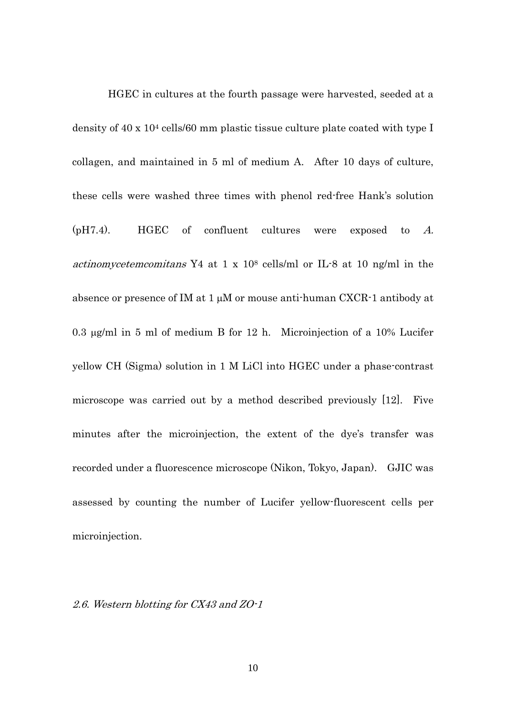HGEC in cultures at the fourth passage were harvested, seeded at a density of 40 x 104 cells/60 mm plastic tissue culture plate coated with type I collagen, and maintained in 5 ml of medium A. After 10 days of culture, these cells were washed three times with phenol red-free Hank's solution (pH7.4). HGEC of confluent cultures were exposed to A. actinomycetemcomitans Y4 at 1 x 108 cells/ml or IL-8 at 10 ng/ml in the absence or presence of IM at 1 μM or mouse anti-human CXCR-1 antibody at 0.3 μg/ml in 5 ml of medium B for 12 h. Microinjection of a 10% Lucifer yellow CH (Sigma) solution in 1 M LiCl into HGEC under a phase-contrast microscope was carried out by a method described previously [12]. Five minutes after the microinjection, the extent of the dye's transfer was recorded under a fluorescence microscope (Nikon, Tokyo, Japan). GJIC was assessed by counting the number of Lucifer yellow-fluorescent cells per microinjection.

### 2.6. Western blotting for CX43 and ZO-1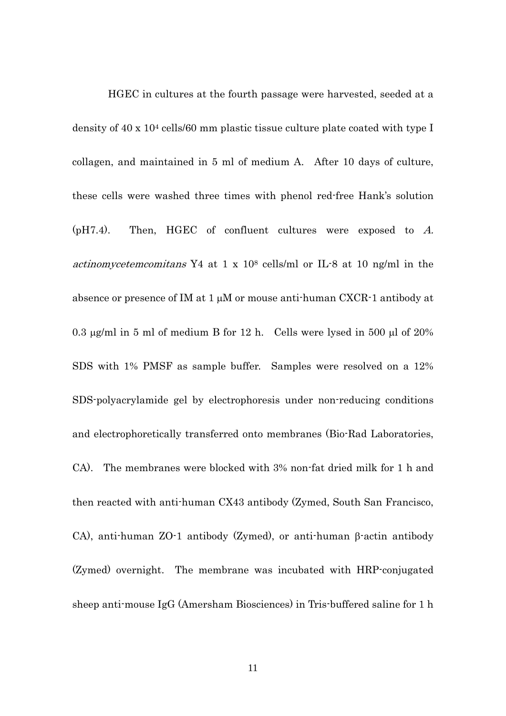HGEC in cultures at the fourth passage were harvested, seeded at a density of 40 x 104 cells/60 mm plastic tissue culture plate coated with type I collagen, and maintained in 5 ml of medium A. After 10 days of culture, these cells were washed three times with phenol red-free Hank's solution  $(pH7.4)$ . Then, HGEC of confluent cultures were exposed to A. actinomycetemcomitans Y4 at 1 x 108 cells/ml or IL-8 at 10 ng/ml in the absence or presence of IM at 1 μM or mouse anti-human CXCR-1 antibody at 0.3 μg/ml in 5 ml of medium B for 12 h. Cells were lysed in 500 μl of  $20\%$ SDS with 1% PMSF as sample buffer. Samples were resolved on a 12% SDS-polyacrylamide gel by electrophoresis under non-reducing conditions and electrophoretically transferred onto membranes (Bio-Rad Laboratories, CA). The membranes were blocked with 3% non-fat dried milk for 1 h and then reacted with anti-human CX43 antibody (Zymed, South San Francisco, CA), anti-human ZO-1 antibody (Zymed), or anti-human β-actin antibody (Zymed) overnight. The membrane was incubated with HRP-conjugated sheep anti-mouse IgG (Amersham Biosciences) in Tris-buffered saline for 1 h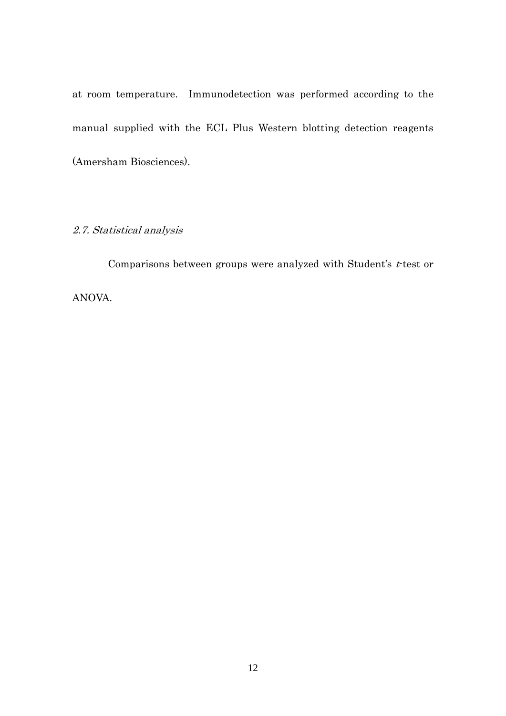at room temperature. Immunodetection was performed according to the manual supplied with the ECL Plus Western blotting detection reagents (Amersham Biosciences).

# 2.7. Statistical analysis

Comparisons between groups were analyzed with Student's  $t$ -test or ANOVA.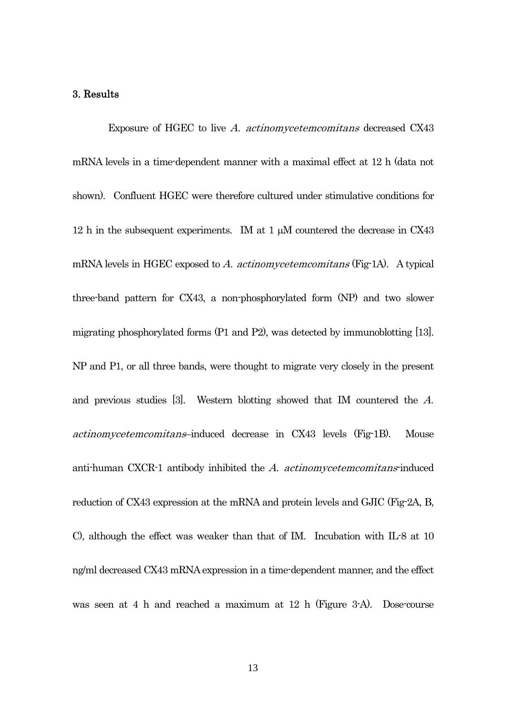### 3. Results

Exposure of HGEC to live A. actinomycetemcomitans decreased CX43 mRNA levels in a time-dependent manner with a maximal effect at 12 h (data not shown). Confluent HGEC were therefore cultured under stimulative conditions for 12 h in the subsequent experiments. IM at 1 μM countered the decrease in CX43 mRNA levels in HGEC exposed to A. actinomycetemcomitans (Fig-1A). A typical three-band pattern for CX43, a non-phosphorylated form (NP) and two slower migrating phosphorylated forms (P1 and P2), was detected by immunoblotting [13]. NP and P1, or all three bands, were thought to migrate very closely in the present and previous studies [3]. Western blotting showed that IM countered the A. actinomycetemcomitans–induced decrease in CX43 levels (Fig-1B). Mouse anti-human CXCR-1 antibody inhibited the A. actinomycetemcomitans-induced reduction of CX43 expression at the mRNA and protein levels and GJIC (Fig-2A, B, C), although the effect was weaker than that of IM. Incubation with IL-8 at 10 ng/ml decreased CX43 mRNA expression in a time-dependent manner, and the effect was seen at 4 h and reached a maximum at 12 h (Figure 3-A). Dose-course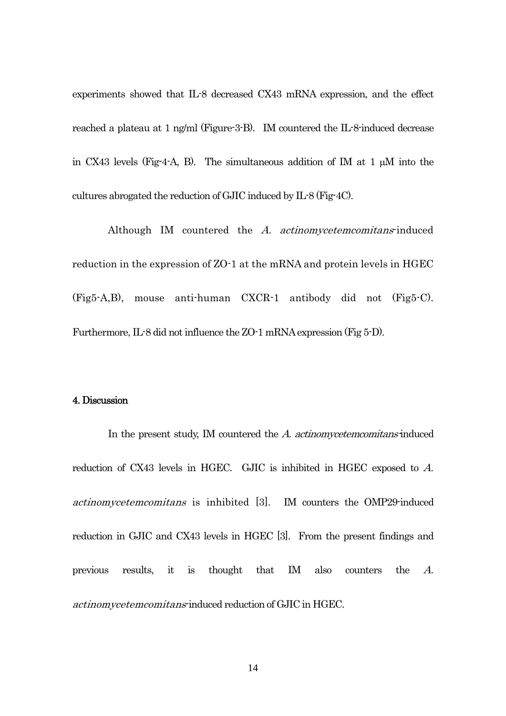experiments showed that IL-8 decreased CX43 mRNA expression, and the effect reached a plateau at 1 ng/ml (Figure-3-B). IM countered the IL-8-induced decrease in CX43 levels (Fig-4-A, B). The simultaneous addition of IM at 1 μM into the cultures abrogated the reduction of GJIC induced by IL-8 (Fig-4C).

Although IM countered the A. actinomycetemcomitans-induced reduction in the expression of ZO-1 at the mRNA and protein levels in HGEC (Fig5-A,B), mouse anti-human CXCR-1 antibody did not (Fig5-C). Furthermore, IL-8 did not influence the ZO-1 mRNA expression (Fig 5-D).

### 4. Discussion

In the present study, IM countered the A. *actinomycetemcomitans*-induced reduction of CX43 levels in HGEC. GJIC is inhibited in HGEC exposed to A. actinomycetemcomitans is inhibited [3]. IM counters the OMP29-induced reduction in GJIC and CX43 levels in HGEC [3]. From the present findings and previous results, it is thought that IM also counters the A. actinomycetemcomitans-induced reduction of GJIC in HGEC.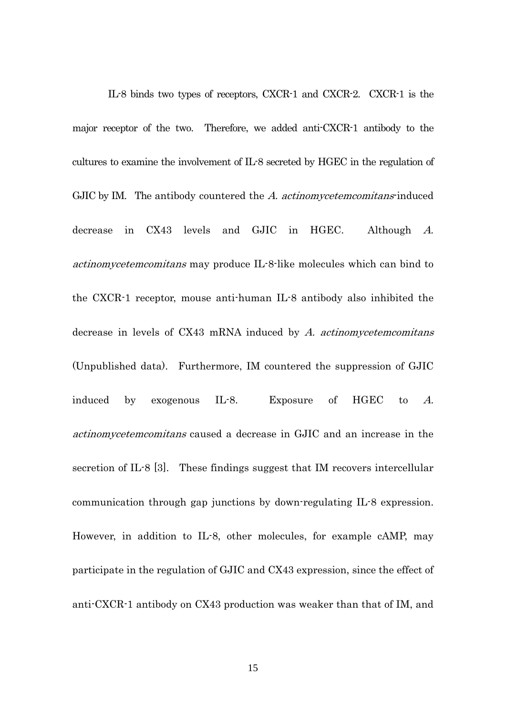IL-8 binds two types of receptors, CXCR-1 and CXCR-2. CXCR-1 is the major receptor of the two. Therefore, we added anti-CXCR-1 antibody to the cultures to examine the involvement of IL-8 secreted by HGEC in the regulation of GJIC by IM. The antibody countered the A. actinomycetem comitans-induced decrease in CX43 levels and GJIC in HGEC. Although A. actinomycetemcomitans may produce IL-8-like molecules which can bind to the CXCR-1 receptor, mouse anti-human IL-8 antibody also inhibited the decrease in levels of  $CX43$  mRNA induced by  $A$ . actinomycetemcomitans (Unpublished data). Furthermore, IM countered the suppression of GJIC induced by exogenous IL-8. Exposure of HGEC to A. actinomycetemcomitans caused a decrease in GJIC and an increase in the secretion of IL-8 [3]. These findings suggest that IM recovers intercellular communication through gap junctions by down-regulating IL-8 expression. However, in addition to IL-8, other molecules, for example cAMP, may participate in the regulation of GJIC and CX43 expression, since the effect of anti-CXCR-1 antibody on CX43 production was weaker than that of IM, and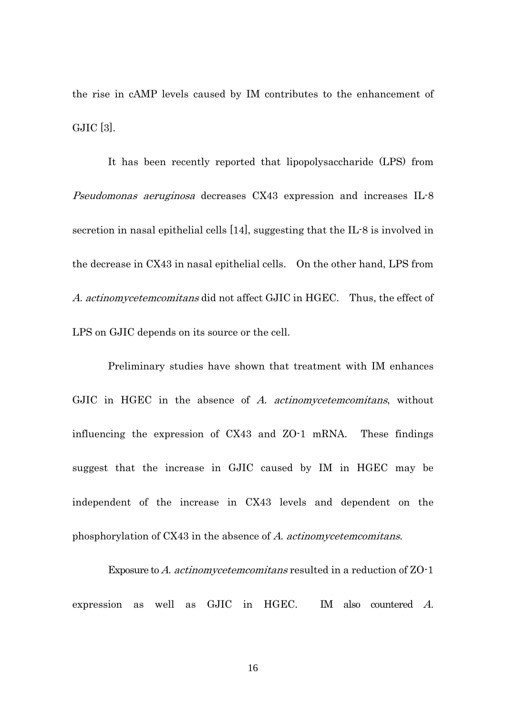the rise in cAMP levels caused by IM contributes to the enhancement of GJIC [3].

It has been recently reported that lipopolysaccharide (LPS) from Pseudomonas aeruginosa decreases CX43 expression and increases IL-8 secretion in nasal epithelial cells [14], suggesting that the IL-8 is involved in the decrease in CX43 in nasal epithelial cells. On the other hand, LPS from A. actinomycetemcomitans did not affect GJIC in HGEC. Thus, the effect of LPS on GJIC depends on its source or the cell.

Preliminary studies have shown that treatment with IM enhances GJIC in HGEC in the absence of A. actinomycetemcomitans, without influencing the expression of CX43 and ZO-1 mRNA. These findings suggest that the increase in GJIC caused by IM in HGEC may be independent of the increase in CX43 levels and dependent on the phosphorylation of CX43 in the absence of A. actinomycetemcomitans.

Exposure to A. actinomycetemcomitans resulted in a reduction of ZO-1 expression as well as GJIC in HGEC. IM also countered A.

16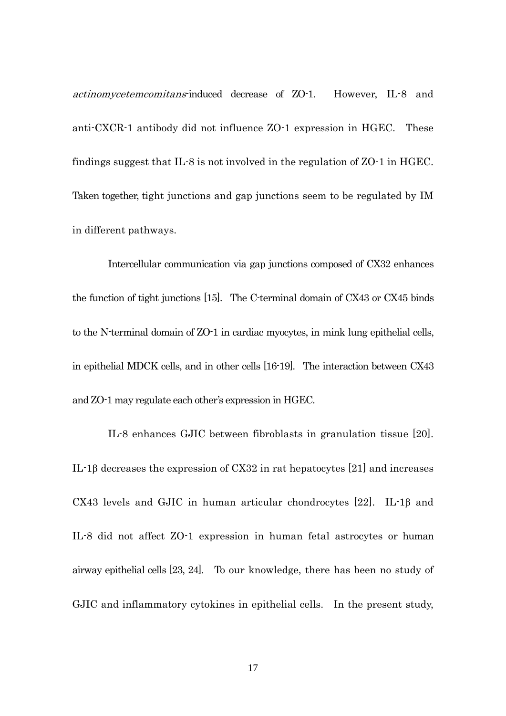actinomycetemcomitans-induced decrease of ZO-1. However, IL-8 and anti-CXCR-1 antibody did not influence ZO-1 expression in HGEC. These findings suggest that IL-8 is not involved in the regulation of ZO-1 in HGEC. Taken together, tight junctions and gap junctions seem to be regulated by IM in different pathways.

Intercellular communication via gap junctions composed of CX32 enhances the function of tight junctions [15]. The C-terminal domain of CX43 or CX45 binds to the N-terminal domain of ZO-1 in cardiac myocytes, in mink lung epithelial cells, in epithelial MDCK cells, and in other cells [16-19]. The interaction between CX43 and ZO-1 may regulate each other's expression in HGEC.

IL-8 enhances GJIC between fibroblasts in granulation tissue [20]. IL-1β decreases the expression of CX32 in rat hepatocytes [21] and increases CX43 levels and GJIC in human articular chondrocytes [22]. IL-1β and IL-8 did not affect ZO-1 expression in human fetal astrocytes or human airway epithelial cells [23, 24]. To our knowledge, there has been no study of GJIC and inflammatory cytokines in epithelial cells. In the present study,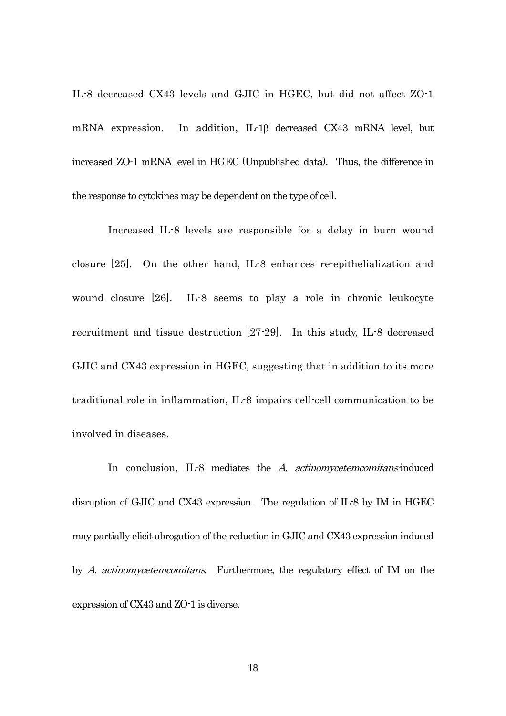IL-8 decreased CX43 levels and GJIC in HGEC, but did not affect ZO-1 mRNA expression. In addition, IL-1β decreased CX43 mRNA level, but increased ZO-1 mRNA level in HGEC (Unpublished data). Thus, the difference in the response to cytokines may be dependent on the type of cell.

Increased IL-8 levels are responsible for a delay in burn wound closure [25]. On the other hand, IL-8 enhances re-epithelialization and wound closure [26]. IL-8 seems to play a role in chronic leukocyte recruitment and tissue destruction [27-29]. In this study, IL-8 decreased GJIC and CX43 expression in HGEC, suggesting that in addition to its more traditional role in inflammation, IL-8 impairs cell-cell communication to be involved in diseases.

In conclusion, IL-8 mediates the A. actinomycetemcomitans-induced disruption of GJIC and CX43 expression. The regulation of IL-8 by IM in HGEC may partially elicit abrogation of the reduction in GJIC and CX43 expression induced by A. actinomycetemcomitans. Furthermore, the regulatory effect of IM on the expression of CX43 and ZO-1 is diverse.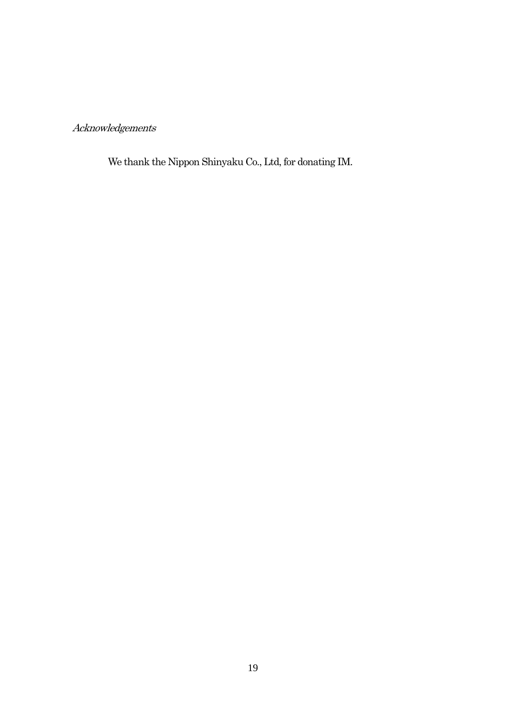# Acknowledgements

We thank the Nippon Shinyaku Co., Ltd, for donating IM.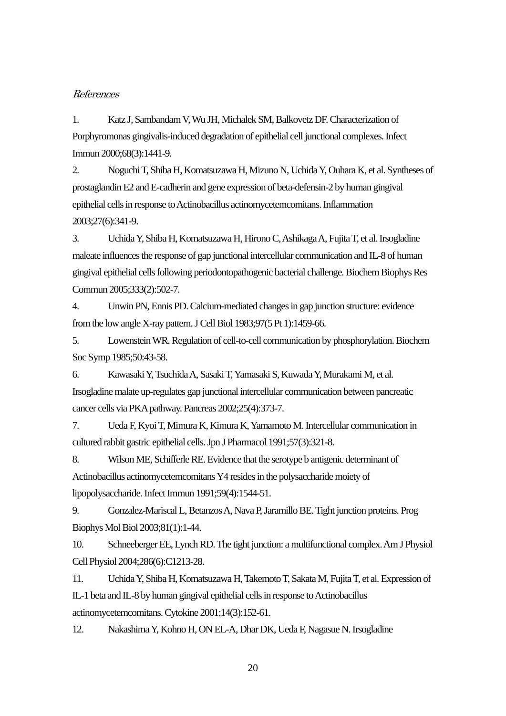### References

1. Katz J, Sambandam V, Wu JH, Michalek SM, Balkovetz DF. Characterization of Porphyromonas gingivalis-induced degradation of epithelial cell junctional complexes. Infect Immun 2000;68(3):1441-9.

2. Noguchi T, Shiba H, Komatsuzawa H, Mizuno N, Uchida Y, Ouhara K, et al. Syntheses of prostaglandin E2 and E-cadherin and gene expression of beta-defensin-2 by human gingival epithelial cells in response to Actinobacillus actinomycetemcomitans. Inflammation 2003;27(6):341-9.

3. Uchida Y, Shiba H, Komatsuzawa H, Hirono C, Ashikaga A, Fujita T, et al. Irsogladine maleate influences the response of gap junctional intercellular communication and IL-8 of human gingival epithelial cells following periodontopathogenic bacterial challenge. Biochem Biophys Res Commun 2005;333(2):502-7.

4. Unwin PN, Ennis PD. Calcium-mediated changes in gap junction structure: evidence from the low angle X-ray pattern. J Cell Biol 1983;97(5 Pt 1):1459-66.

5. Lowenstein WR. Regulation of cell-to-cell communication by phosphorylation. Biochem Soc Symp 1985;50:43-58.

6. Kawasaki Y, Tsuchida A, Sasaki T, Yamasaki S, Kuwada Y, Murakami M, et al. Irsogladine malate up-regulates gap junctional intercellular communication between pancreatic cancer cells via PKA pathway. Pancreas 2002;25(4):373-7.

7. Ueda F, Kyoi T, Mimura K, Kimura K, Yamamoto M. Intercellular communication in cultured rabbit gastric epithelial cells. Jpn J Pharmacol 1991;57(3):321-8.

8. Wilson ME, Schifferle RE. Evidence that the serotype b antigenic determinant of Actinobacillus actinomycetemcomitans Y4 resides in the polysaccharide moiety of lipopolysaccharide. Infect Immun 1991;59(4):1544-51.

9. Gonzalez-Mariscal L, Betanzos A, Nava P, Jaramillo BE. Tight junction proteins. Prog Biophys Mol Biol 2003;81(1):1-44.

10. Schneeberger EE, Lynch RD. The tight junction: a multifunctional complex. Am J Physiol Cell Physiol 2004;286(6):C1213-28.

11. Uchida Y, Shiba H, Komatsuzawa H, Takemoto T, Sakata M, Fujita T, et al. Expression of IL-1 beta and IL-8 by human gingival epithelial cells in response to Actinobacillus actinomycetemcomitans. Cytokine 2001;14(3):152-61.

12. Nakashima Y, Kohno H, ON EL-A, Dhar DK, Ueda F, Nagasue N. Irsogladine

20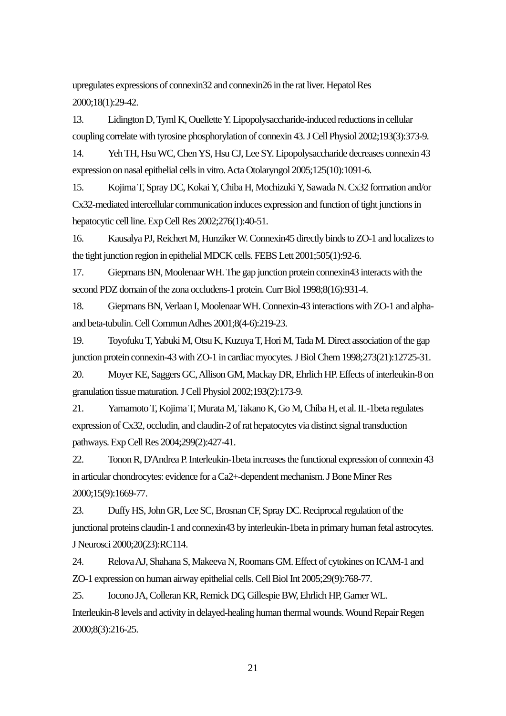upregulates expressions of connexin32 and connexin26 in the rat liver. Hepatol Res 2000;18(1):29-42.

13. Lidington D, Tyml K, Ouellette Y. Lipopolysaccharide-induced reductions in cellular coupling correlate with tyrosine phosphorylation of connexin 43. J Cell Physiol 2002;193(3):373-9.

14. Yeh TH, Hsu WC, Chen YS, Hsu CJ, Lee SY. Lipopolysaccharide decreases connexin 43 expression on nasal epithelial cells in vitro. Acta Otolaryngol 2005;125(10):1091-6.

15. Kojima T, Spray DC, Kokai Y, Chiba H, Mochizuki Y, Sawada N. Cx32 formation and/or Cx32-mediated intercellular communication induces expression and function of tight junctions in hepatocytic cell line. Exp Cell Res 2002;276(1):40-51.

16. Kausalya PJ, Reichert M, Hunziker W. Connexin45 directly binds to ZO-1 and localizes to the tight junction region in epithelial MDCK cells. FEBS Lett 2001;505(1):92-6.

17. Giepmans BN, Moolenaar WH. The gap junction protein connexin43 interacts with the second PDZ domain of the zona occludens-1 protein. Curr Biol 1998;8(16):931-4.

18. Giepmans BN, Verlaan I, Moolenaar WH. Connexin-43 interactions with ZO-1 and alphaand beta-tubulin. Cell Commun Adhes 2001;8(4-6):219-23.

19. Toyofuku T, Yabuki M, Otsu K, Kuzuya T, Hori M, Tada M. Direct association of the gap junction protein connexin-43 with ZO-1 in cardiac myocytes. J Biol Chem 1998;273(21):12725-31.

20. Moyer KE, Saggers GC, Allison GM, Mackay DR, Ehrlich HP. Effects of interleukin-8 on granulation tissue maturation. J Cell Physiol 2002;193(2):173-9.

21. Yamamoto T, Kojima T, Murata M, Takano K, Go M, Chiba H, et al. IL-1beta regulates expression of Cx32, occludin, and claudin-2 of rat hepatocytes via distinct signal transduction pathways. Exp Cell Res 2004;299(2):427-41.

22. Tonon R, D'Andrea P. Interleukin-1beta increases the functional expression of connexin 43 in articular chondrocytes: evidence for a Ca2+-dependent mechanism. J Bone Miner Res 2000;15(9):1669-77.

23. Duffy HS, John GR, Lee SC, Brosnan CF, Spray DC. Reciprocal regulation of the junctional proteins claudin-1 and connexin43 by interleukin-1beta in primary human fetal astrocytes. J Neurosci 2000;20(23):RC114.

24. Relova AJ, Shahana S, Makeeva N, Roomans GM. Effect of cytokines on ICAM-1 and ZO-1 expression on human airway epithelial cells. Cell Biol Int 2005;29(9):768-77.

25. Iocono JA, Colleran KR, Remick DG, Gillespie BW, Ehrlich HP, Garner WL. Interleukin-8 levels and activity in delayed-healing human thermal wounds. Wound Repair Regen 2000;8(3):216-25.

21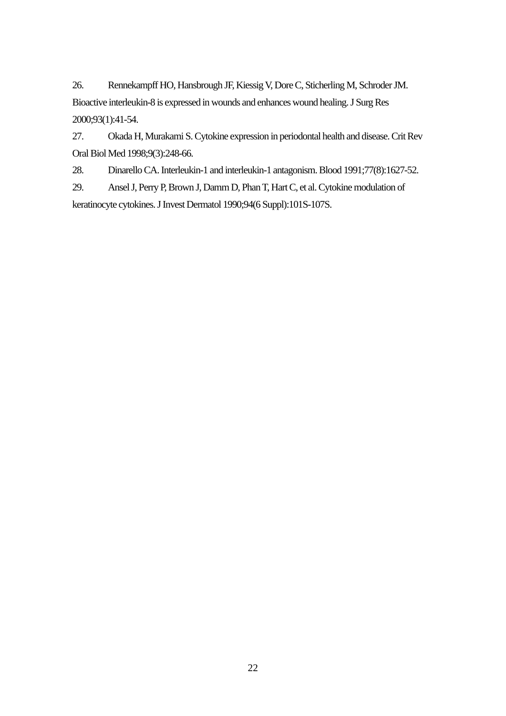26. Rennekampff HO, Hansbrough JF, Kiessig V, Dore C, Sticherling M, Schroder JM. Bioactive interleukin-8 is expressed in wounds and enhances wound healing. J Surg Res 2000;93(1):41-54.

27. Okada H, Murakami S. Cytokine expression in periodontal health and disease. Crit Rev Oral Biol Med 1998;9(3):248-66.

28. Dinarello CA. Interleukin-1 and interleukin-1 antagonism. Blood 1991;77(8):1627-52.

29. Ansel J, Perry P, Brown J, Damm D, Phan T, Hart C, et al. Cytokine modulation of keratinocyte cytokines. J Invest Dermatol 1990;94(6 Suppl):101S-107S.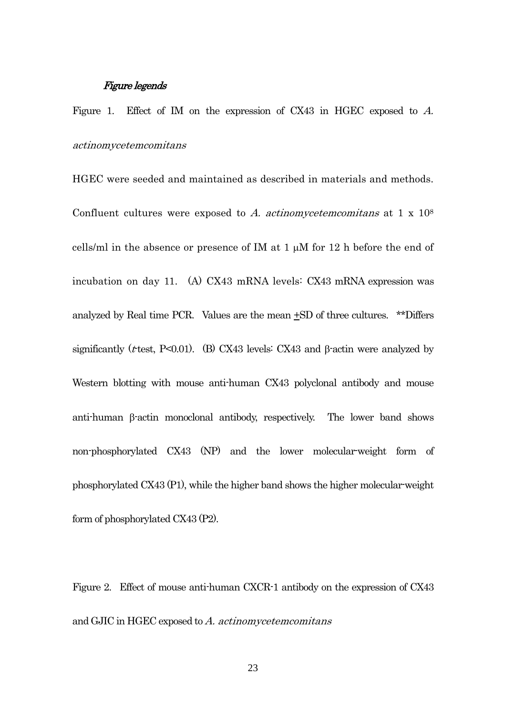### Figure legends

Figure 1. Effect of IM on the expression of CX43 in HGEC exposed to A. actinomycetemcomitans

HGEC were seeded and maintained as described in materials and methods. Confluent cultures were exposed to A. actinomyce tem comitans at  $1 \times 10^8$ cells/ml in the absence or presence of IM at 1 μM for 12 h before the end of incubation on day 11. (A) CX43 mRNA levels: CX43 mRNA expression was analyzed by Real time PCR. Values are the mean  $\pm SD$  of three cultures. \*\*Differs significantly ( $t$ -test, P<0.01). (B) CX43 levels: CX43 and β-actin were analyzed by Western blotting with mouse anti-human CX43 polyclonal antibody and mouse anti-human β-actin monoclonal antibody, respectively. The lower band shows non-phosphorylated CX43 (NP) and the lower molecular-weight form of phosphorylated CX43 (P1), while the higher band shows the higher molecular-weight form of phosphorylated CX43 (P2).

Figure 2. Effect of mouse anti-human CXCR-1 antibody on the expression of CX43 and GJIC in HGEC exposed to A. actinomycetemcomitans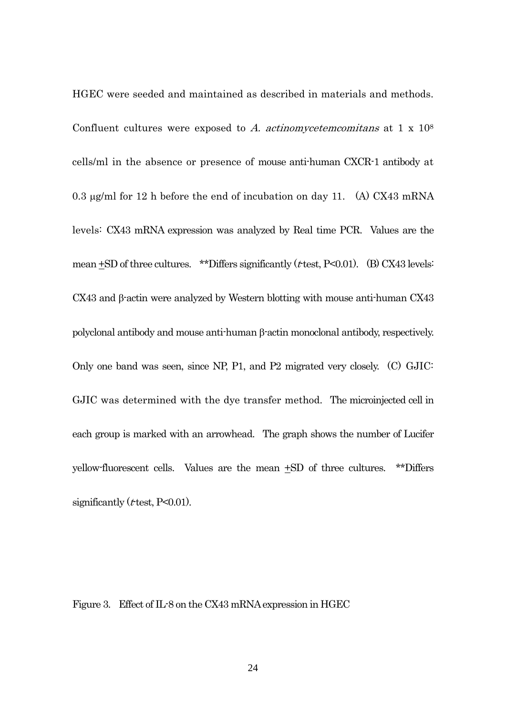HGEC were seeded and maintained as described in materials and methods. Confluent cultures were exposed to A. actinomycetemcomitans at  $1 \times 10^8$ cells/ml in the absence or presence of mouse anti-human CXCR-1 antibody at 0.3 μg/ml for 12 h before the end of incubation on day 11. (A) CX43 mRNA levels: CX43 mRNA expression was analyzed by Real time PCR. Values are the mean  $\pm$ SD of three cultures. \*\*Differs significantly (*t* test, P<0.01). (B) CX43 levels: CX43 and β-actin were analyzed by Western blotting with mouse anti-human CX43 polyclonal antibody and mouse anti-human β-actin monoclonal antibody, respectively. Only one band was seen, since NP, P1, and P2 migrated very closely. (C) GJIC: GJIC was determined with the dye transfer method. The microinjected cell in each group is marked with an arrowhead. The graph shows the number of Lucifer yellow-fluorescent cells. Values are the mean +SD of three cultures. \*\*Differs significantly ( $t$  test, P<0.01).

Figure 3. Effect of IL-8 on the CX43 mRNA expression in HGEC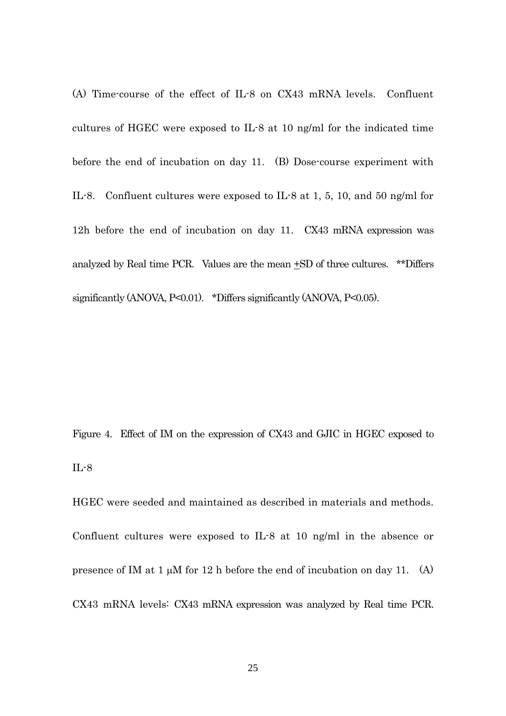(A) Time-course of the effect of IL-8 on CX43 mRNA levels. Confluent cultures of HGEC were exposed to IL-8 at 10 ng/ml for the indicated time before the end of incubation on day 11. (B) Dose-course experiment with IL-8. Confluent cultures were exposed to IL-8 at 1, 5, 10, and 50 ng/ml for 12h before the end of incubation on day 11. CX43 mRNA expression was analyzed by Real time PCR. Values are the mean  $\pm$ SD of three cultures. \*\*Differs significantly (ANOVA, P<0.01). \*Differs significantly (ANOVA, P<0.05).

Figure 4. Effect of IM on the expression of CX43 and GJIC in HGEC exposed to IL-8

HGEC were seeded and maintained as described in materials and methods. Confluent cultures were exposed to IL-8 at 10 ng/ml in the absence or presence of IM at 1  $\mu$ M for 12 h before the end of incubation on day 11. (A) CX43 mRNA levels: CX43 mRNA expression was analyzed by Real time PCR.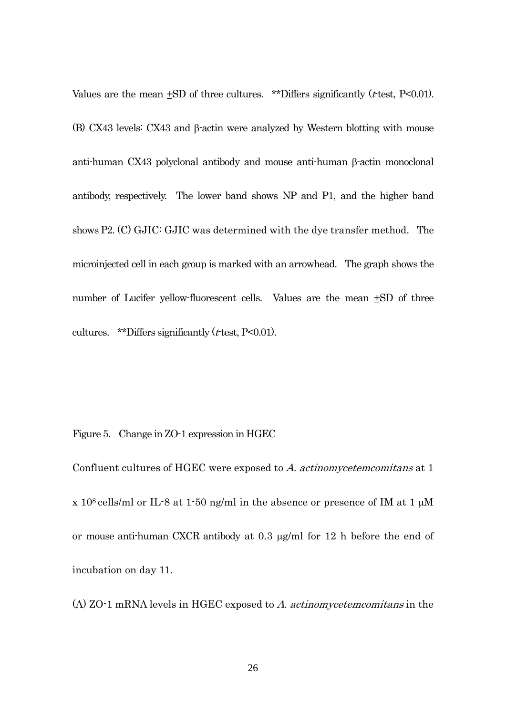Values are the mean  $\pm$ SD of three cultures. \*\*Differs significantly ( $t$ -test, P<0.01). (B) CX43 levels: CX43 and β-actin were analyzed by Western blotting with mouse anti-human CX43 polyclonal antibody and mouse anti-human β-actin monoclonal antibody, respectively. The lower band shows NP and P1, and the higher band shows P2. (C) GJIC: GJIC was determined with the dye transfer method. The microinjected cell in each group is marked with an arrowhead. The graph shows the number of Lucifer yellow-fluorescent cells. Values are the mean +SD of three cultures. \*\*Differs significantly ( $t$ -test, P<0.01).

Figure 5. Change in ZO-1 expression in HGEC

Confluent cultures of HGEC were exposed to A. actinomycetemcomitans at 1 x 10<sup>8</sup> cells/ml or IL-8 at 1-50 ng/ml in the absence or presence of IM at 1  $\mu$ M or mouse anti-human CXCR antibody at 0.3 μg/ml for 12 h before the end of incubation on day 11.

(A) ZO-1 mRNA levels in HGEC exposed to A. actinomycetemcomitans in the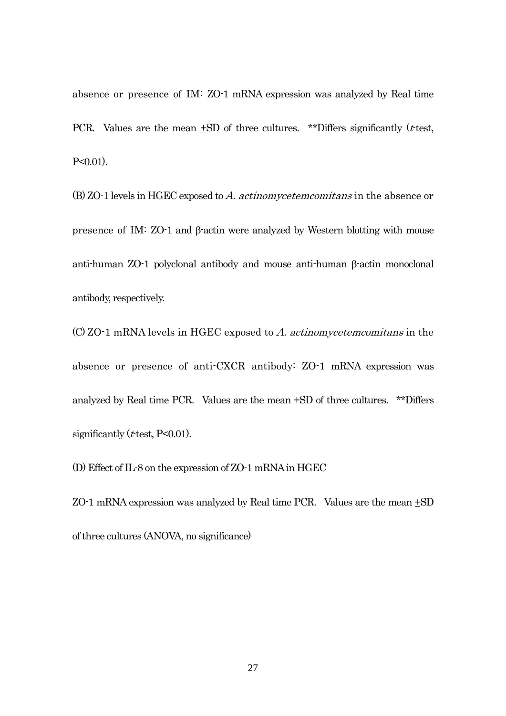absence or presence of IM: ZO-1 mRNA expression was analyzed by Real time PCR. Values are the mean  $+SD$  of three cultures. \*\*Differs significantly (*t*-test, P<0.01).

(B) ZO-1 levels in HGEC exposed to A. actinomycetemcomitans in the absence or presence of IM: ZO-1 and β-actin were analyzed by Western blotting with mouse anti-human ZO-1 polyclonal antibody and mouse anti-human β-actin monoclonal antibody, respectively.

(C) ZO-1 mRNA levels in HGEC exposed to A. actinomycetemcomitans in the absence or presence of anti-CXCR antibody: ZO-1 mRNA expression was analyzed by Real time PCR. Values are the mean +SD of three cultures. \*\*Differs significantly ( $t$  test, P<0.01).

(D) Effect of IL-8 on the expression of ZO-1 mRNA in HGEC

ZO-1 mRNA expression was analyzed by Real time PCR. Values are the mean +SD of three cultures (ANOVA, no significance)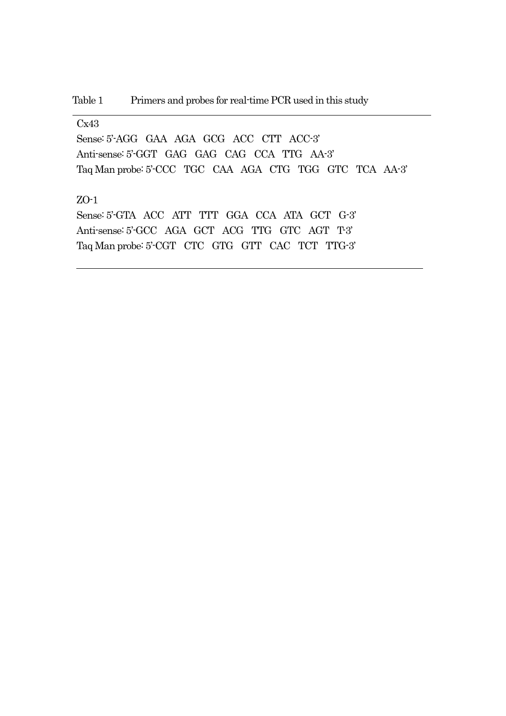### Cx43

Sense: 5'-AGG GAA AGA GCG ACC CTT ACC-3' Anti-sense: 5'-GGT GAG GAG CAG CCA TTG AA-3' Taq Man probe: 5'-CCC TGC CAA AGA CTG TGG GTC TCA AA-3'

## ZO-1

Sense: 5'-GTA ACC ATT TTT GGA CCA ATA GCT G-3' Anti-sense: 5'-GCC AGA GCT ACG TTG GTC AGT T-3' Taq Man probe: 5'-CGT CTC GTG GTT CAC TCT TTG-3'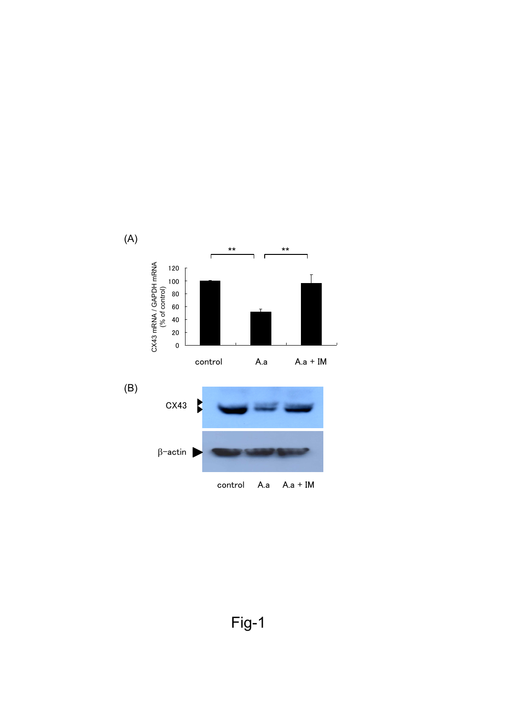

Fig-1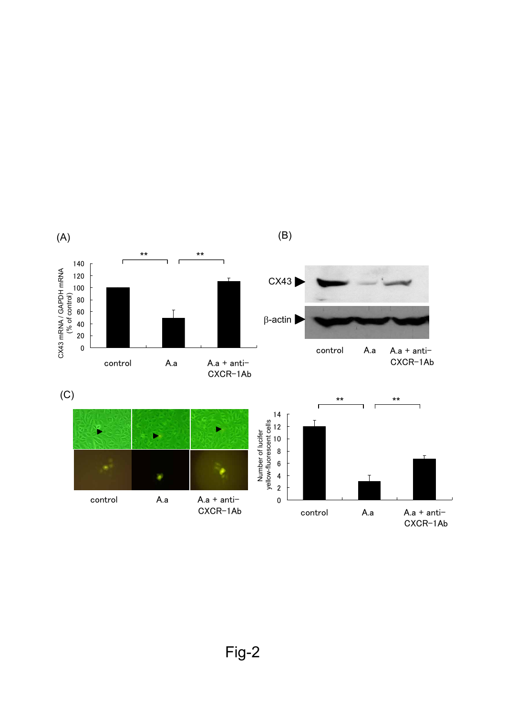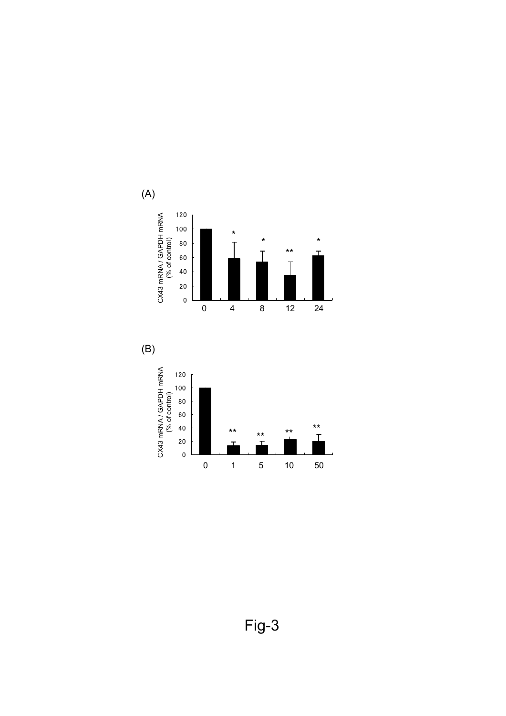

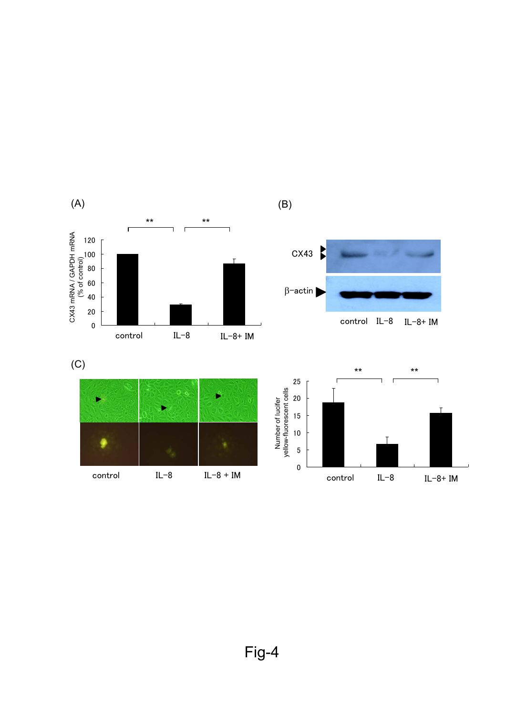



control IL-8 IL-8+ IM